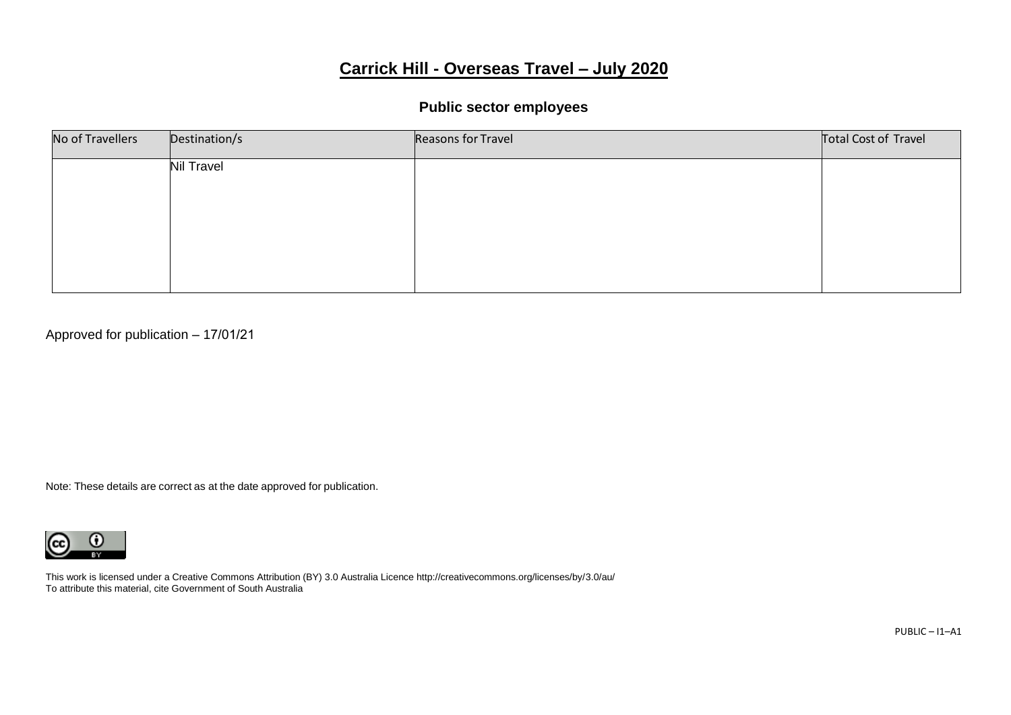# **Carrick Hill - Overseas Travel – July 2020**

#### **Public sector employees**

| No of Travellers | Destination/s     | Reasons for Travel | Total Cost of Travel |
|------------------|-------------------|--------------------|----------------------|
|                  | <b>Nil Travel</b> |                    |                      |
|                  |                   |                    |                      |
|                  |                   |                    |                      |
|                  |                   |                    |                      |
|                  |                   |                    |                      |

Approved for publication – 17/01/21

Note: These details are correct as at the date approved for publication.

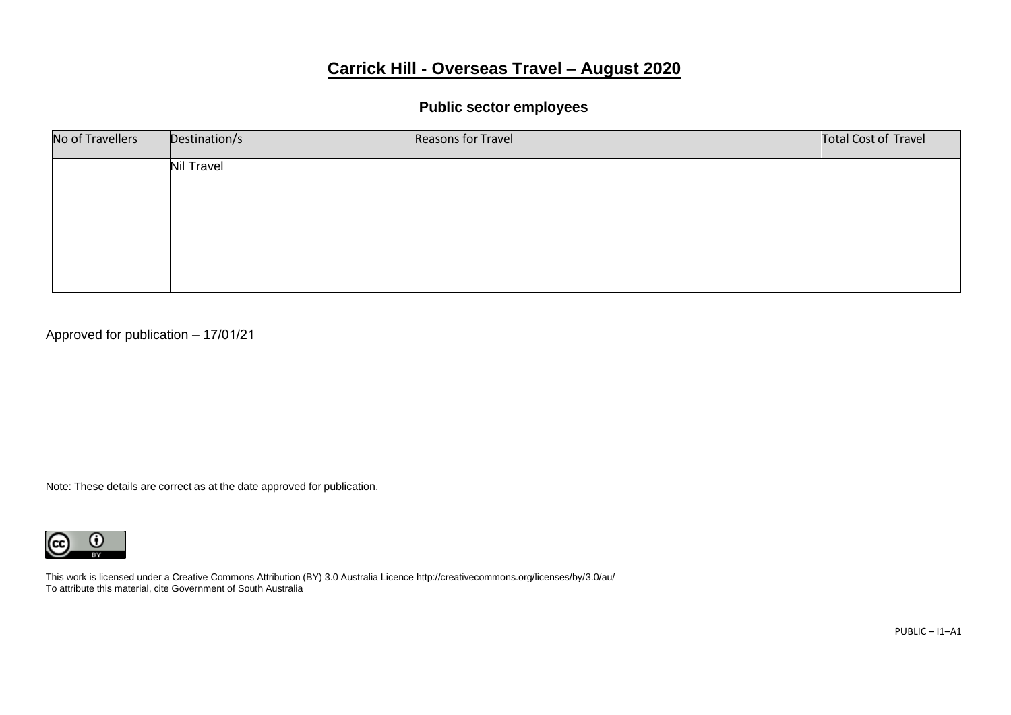# **Carrick Hill - Overseas Travel – August 2020**

#### **Public sector employees**

| No of Travellers | Destination/s     | Reasons for Travel | Total Cost of Travel |
|------------------|-------------------|--------------------|----------------------|
|                  | <b>Nil Travel</b> |                    |                      |
|                  |                   |                    |                      |
|                  |                   |                    |                      |
|                  |                   |                    |                      |
|                  |                   |                    |                      |

Approved for publication – 17/01/21

Note: These details are correct as at the date approved for publication.

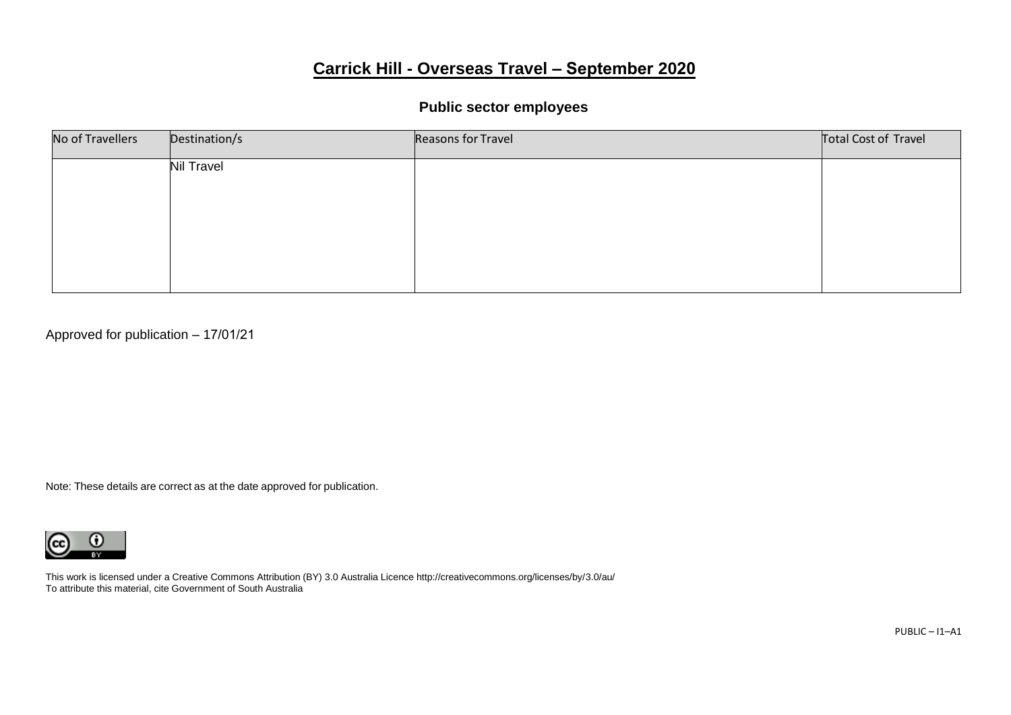# **Carrick Hill - Overseas Travel – September 2020**

#### **Public sector employees**

| No of Travellers | Destination/s     | Reasons for Travel | Total Cost of Travel |
|------------------|-------------------|--------------------|----------------------|
|                  | <b>Nil Travel</b> |                    |                      |
|                  |                   |                    |                      |
|                  |                   |                    |                      |
|                  |                   |                    |                      |
|                  |                   |                    |                      |

Approved for publication – 17/01/21

Note: These details are correct as at the date approved for publication.

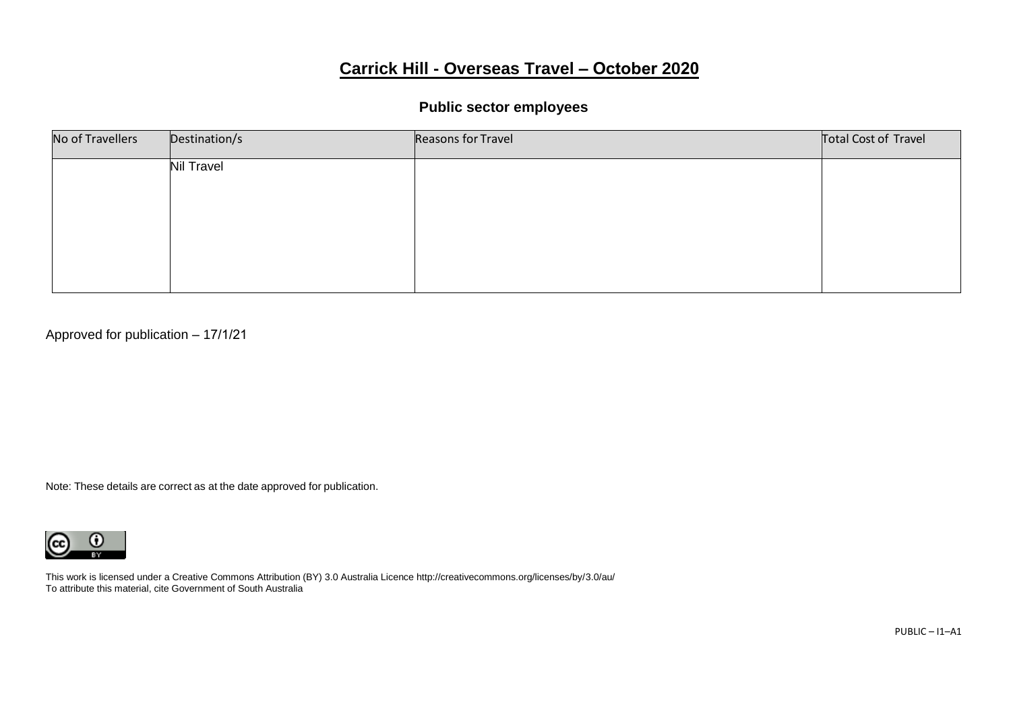# **Carrick Hill - Overseas Travel – October 2020**

# **Public sector employees**

| No of Travellers | Destination/s     | Reasons for Travel | Total Cost of Travel |
|------------------|-------------------|--------------------|----------------------|
|                  | <b>Nil Travel</b> |                    |                      |
|                  |                   |                    |                      |
|                  |                   |                    |                      |
|                  |                   |                    |                      |
|                  |                   |                    |                      |

Approved for publication – 17/1/21

Note: These details are correct as at the date approved for publication.

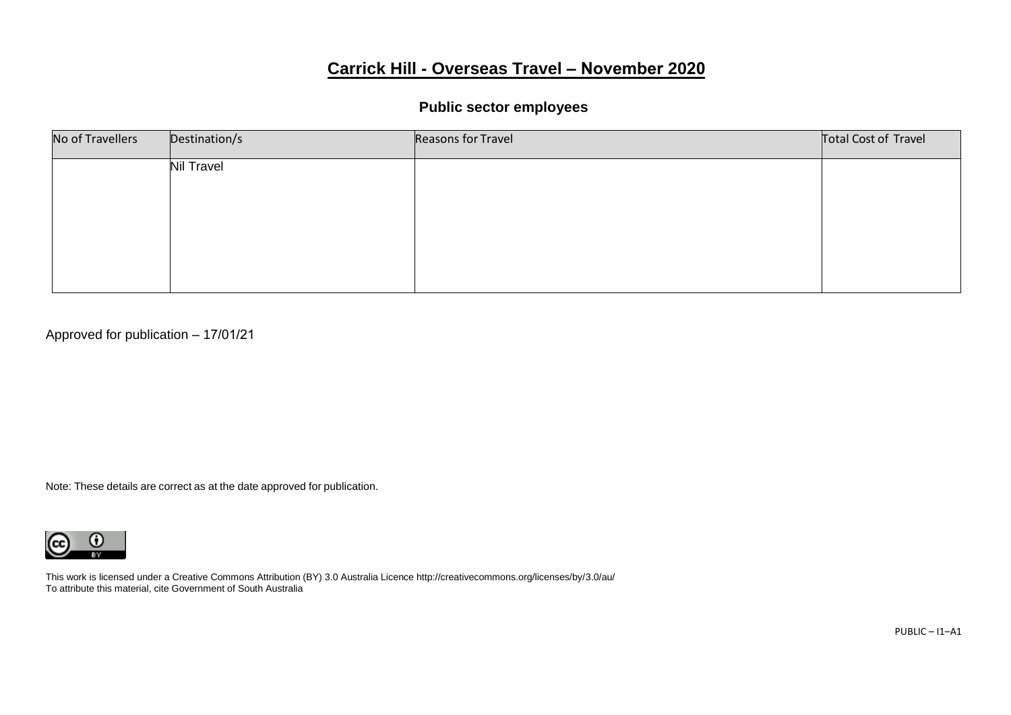# **Carrick Hill - Overseas Travel – November 2020**

#### **Public sector employees**

| No of Travellers | Destination/s     | Reasons for Travel | Total Cost of Travel |
|------------------|-------------------|--------------------|----------------------|
|                  | <b>Nil Travel</b> |                    |                      |
|                  |                   |                    |                      |
|                  |                   |                    |                      |
|                  |                   |                    |                      |
|                  |                   |                    |                      |

Approved for publication – 17/01/21

Note: These details are correct as at the date approved for publication.